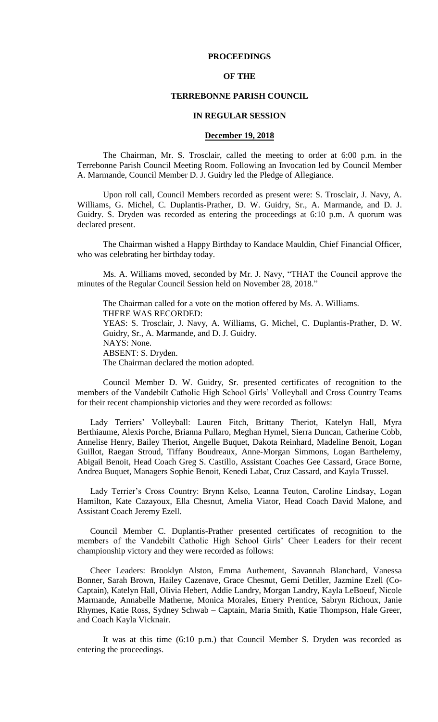# **PROCEEDINGS**

### **OF THE**

### **TERREBONNE PARISH COUNCIL**

### **IN REGULAR SESSION**

# **December 19, 2018**

The Chairman, Mr. S. Trosclair, called the meeting to order at 6:00 p.m. in the Terrebonne Parish Council Meeting Room. Following an Invocation led by Council Member A. Marmande, Council Member D. J. Guidry led the Pledge of Allegiance.

Upon roll call, Council Members recorded as present were: S. Trosclair, J. Navy, A. Williams, G. Michel, C. Duplantis-Prather, D. W. Guidry, Sr., A. Marmande, and D. J. Guidry. S. Dryden was recorded as entering the proceedings at 6:10 p.m. A quorum was declared present.

The Chairman wished a Happy Birthday to Kandace Mauldin, Chief Financial Officer, who was celebrating her birthday today.

Ms. A. Williams moved, seconded by Mr. J. Navy, "THAT the Council approve the minutes of the Regular Council Session held on November 28, 2018."

The Chairman called for a vote on the motion offered by Ms. A. Williams. THERE WAS RECORDED: YEAS: S. Trosclair, J. Navy, A. Williams, G. Michel, C. Duplantis-Prather, D. W. Guidry, Sr., A. Marmande, and D. J. Guidry. NAYS: None. ABSENT: S. Dryden. The Chairman declared the motion adopted.

Council Member D. W. Guidry, Sr. presented certificates of recognition to the members of the Vandebilt Catholic High School Girls' Volleyball and Cross Country Teams for their recent championship victories and they were recorded as follows:

Lady Terriers' Volleyball: Lauren Fitch, Brittany Theriot, Katelyn Hall, Myra Berthiaume, Alexis Porche, Brianna Pullaro, Meghan Hymel, Sierra Duncan, Catherine Cobb, Annelise Henry, Bailey Theriot, Angelle Buquet, Dakota Reinhard, Madeline Benoit, Logan Guillot, Raegan Stroud, Tiffany Boudreaux, Anne-Morgan Simmons, Logan Barthelemy, Abigail Benoit, Head Coach Greg S. Castillo, Assistant Coaches Gee Cassard, Grace Borne, Andrea Buquet, Managers Sophie Benoit, Kenedi Labat, Cruz Cassard, and Kayla Trussel.

Lady Terrier's Cross Country: Brynn Kelso, Leanna Teuton, Caroline Lindsay, Logan Hamilton, Kate Cazayoux, Ella Chesnut, Amelia Viator, Head Coach David Malone, and Assistant Coach Jeremy Ezell.

Council Member C. Duplantis-Prather presented certificates of recognition to the members of the Vandebilt Catholic High School Girls' Cheer Leaders for their recent championship victory and they were recorded as follows:

Cheer Leaders: Brooklyn Alston, Emma Authement, Savannah Blanchard, Vanessa Bonner, Sarah Brown, Hailey Cazenave, Grace Chesnut, Gemi Detiller, Jazmine Ezell (Co-Captain), Katelyn Hall, Olivia Hebert, Addie Landry, Morgan Landry, Kayla LeBoeuf, Nicole Marmande, Annabelle Matherne, Monica Morales, Emery Prentice, Sabryn Richoux, Janie Rhymes, Katie Ross, Sydney Schwab – Captain, Maria Smith, Katie Thompson, Hale Greer, and Coach Kayla Vicknair.

It was at this time (6:10 p.m.) that Council Member S. Dryden was recorded as entering the proceedings.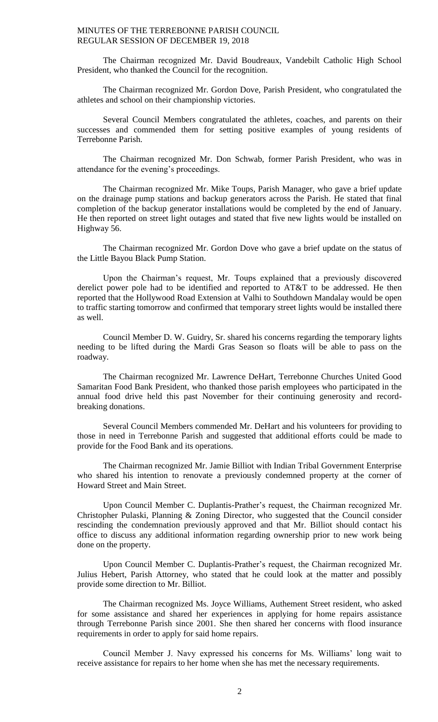The Chairman recognized Mr. David Boudreaux, Vandebilt Catholic High School President, who thanked the Council for the recognition.

The Chairman recognized Mr. Gordon Dove, Parish President, who congratulated the athletes and school on their championship victories.

Several Council Members congratulated the athletes, coaches, and parents on their successes and commended them for setting positive examples of young residents of Terrebonne Parish.

The Chairman recognized Mr. Don Schwab, former Parish President, who was in attendance for the evening's proceedings.

The Chairman recognized Mr. Mike Toups, Parish Manager, who gave a brief update on the drainage pump stations and backup generators across the Parish. He stated that final completion of the backup generator installations would be completed by the end of January. He then reported on street light outages and stated that five new lights would be installed on Highway 56.

The Chairman recognized Mr. Gordon Dove who gave a brief update on the status of the Little Bayou Black Pump Station.

Upon the Chairman's request, Mr. Toups explained that a previously discovered derelict power pole had to be identified and reported to AT&T to be addressed. He then reported that the Hollywood Road Extension at Valhi to Southdown Mandalay would be open to traffic starting tomorrow and confirmed that temporary street lights would be installed there as well.

Council Member D. W. Guidry, Sr. shared his concerns regarding the temporary lights needing to be lifted during the Mardi Gras Season so floats will be able to pass on the roadway.

The Chairman recognized Mr. Lawrence DeHart, Terrebonne Churches United Good Samaritan Food Bank President, who thanked those parish employees who participated in the annual food drive held this past November for their continuing generosity and recordbreaking donations.

Several Council Members commended Mr. DeHart and his volunteers for providing to those in need in Terrebonne Parish and suggested that additional efforts could be made to provide for the Food Bank and its operations.

The Chairman recognized Mr. Jamie Billiot with Indian Tribal Government Enterprise who shared his intention to renovate a previously condemned property at the corner of Howard Street and Main Street.

Upon Council Member C. Duplantis-Prather's request, the Chairman recognized Mr. Christopher Pulaski, Planning & Zoning Director, who suggested that the Council consider rescinding the condemnation previously approved and that Mr. Billiot should contact his office to discuss any additional information regarding ownership prior to new work being done on the property.

Upon Council Member C. Duplantis-Prather's request, the Chairman recognized Mr. Julius Hebert, Parish Attorney, who stated that he could look at the matter and possibly provide some direction to Mr. Billiot.

The Chairman recognized Ms. Joyce Williams, Authement Street resident, who asked for some assistance and shared her experiences in applying for home repairs assistance through Terrebonne Parish since 2001. She then shared her concerns with flood insurance requirements in order to apply for said home repairs.

Council Member J. Navy expressed his concerns for Ms. Williams' long wait to receive assistance for repairs to her home when she has met the necessary requirements.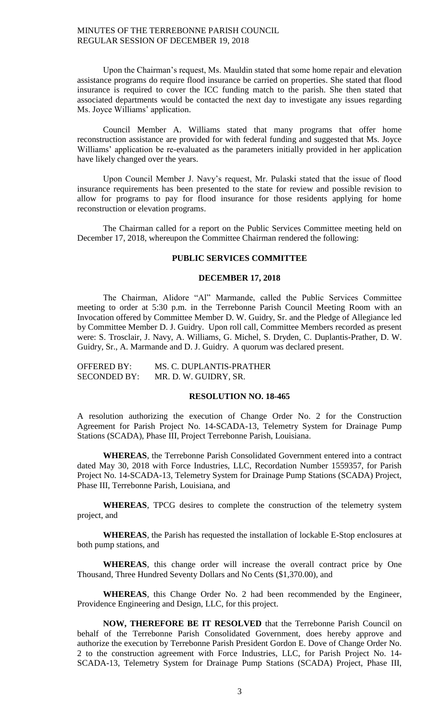Upon the Chairman's request, Ms. Mauldin stated that some home repair and elevation assistance programs do require flood insurance be carried on properties. She stated that flood insurance is required to cover the ICC funding match to the parish. She then stated that associated departments would be contacted the next day to investigate any issues regarding Ms. Joyce Williams' application.

Council Member A. Williams stated that many programs that offer home reconstruction assistance are provided for with federal funding and suggested that Ms. Joyce Williams' application be re-evaluated as the parameters initially provided in her application have likely changed over the years.

Upon Council Member J. Navy's request, Mr. Pulaski stated that the issue of flood insurance requirements has been presented to the state for review and possible revision to allow for programs to pay for flood insurance for those residents applying for home reconstruction or elevation programs.

The Chairman called for a report on the Public Services Committee meeting held on December 17, 2018, whereupon the Committee Chairman rendered the following:

# **PUBLIC SERVICES COMMITTEE**

# **DECEMBER 17, 2018**

The Chairman, Alidore "Al" Marmande, called the Public Services Committee meeting to order at 5:30 p.m. in the Terrebonne Parish Council Meeting Room with an Invocation offered by Committee Member D. W. Guidry, Sr. and the Pledge of Allegiance led by Committee Member D. J. Guidry. Upon roll call, Committee Members recorded as present were: S. Trosclair, J. Navy, A. Williams, G. Michel, S. Dryden, C. Duplantis-Prather, D. W. Guidry, Sr., A. Marmande and D. J. Guidry. A quorum was declared present.

| <b>OFFERED BY:</b>  | MS. C. DUPLANTIS-PRATHER |
|---------------------|--------------------------|
| <b>SECONDED BY:</b> | MR. D. W. GUIDRY, SR.    |

### **RESOLUTION NO. 18-465**

A resolution authorizing the execution of Change Order No. 2 for the Construction Agreement for Parish Project No. 14-SCADA-13, Telemetry System for Drainage Pump Stations (SCADA), Phase III, Project Terrebonne Parish, Louisiana.

**WHEREAS**, the Terrebonne Parish Consolidated Government entered into a contract dated May 30, 2018 with Force Industries, LLC, Recordation Number 1559357, for Parish Project No. 14-SCADA-13, Telemetry System for Drainage Pump Stations (SCADA) Project, Phase III, Terrebonne Parish, Louisiana, and

**WHEREAS**, TPCG desires to complete the construction of the telemetry system project, and

**WHEREAS**, the Parish has requested the installation of lockable E-Stop enclosures at both pump stations, and

**WHEREAS**, this change order will increase the overall contract price by One Thousand, Three Hundred Seventy Dollars and No Cents (\$1,370.00), and

**WHEREAS**, this Change Order No. 2 had been recommended by the Engineer, Providence Engineering and Design, LLC, for this project.

**NOW, THEREFORE BE IT RESOLVED** that the Terrebonne Parish Council on behalf of the Terrebonne Parish Consolidated Government, does hereby approve and authorize the execution by Terrebonne Parish President Gordon E. Dove of Change Order No. 2 to the construction agreement with Force Industries, LLC, for Parish Project No. 14- SCADA-13, Telemetry System for Drainage Pump Stations (SCADA) Project, Phase III,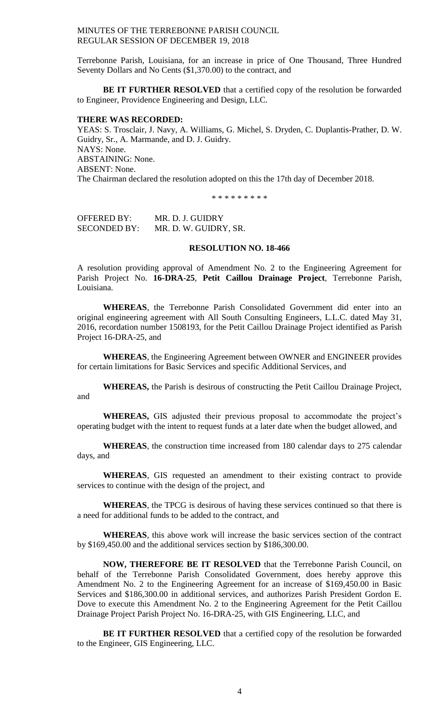Terrebonne Parish, Louisiana, for an increase in price of One Thousand, Three Hundred Seventy Dollars and No Cents (\$1,370.00) to the contract, and

**BE IT FURTHER RESOLVED** that a certified copy of the resolution be forwarded to Engineer, Providence Engineering and Design, LLC.

#### **THERE WAS RECORDED:**

YEAS: S. Trosclair, J. Navy, A. Williams, G. Michel, S. Dryden, C. Duplantis-Prather, D. W. Guidry, Sr., A. Marmande, and D. J. Guidry. NAYS: None. ABSTAINING: None. ABSENT: None. The Chairman declared the resolution adopted on this the 17th day of December 2018.

\* \* \* \* \* \* \* \* \*

OFFERED BY: MR. D. J. GUIDRY SECONDED BY: MR. D. W. GUIDRY, SR.

# **RESOLUTION NO. 18-466**

A resolution providing approval of Amendment No. 2 to the Engineering Agreement for Parish Project No. **16-DRA-25**, **Petit Caillou Drainage Project**, Terrebonne Parish, Louisiana.

**WHEREAS**, the Terrebonne Parish Consolidated Government did enter into an original engineering agreement with All South Consulting Engineers, L.L.C. dated May 31, 2016, recordation number 1508193, for the Petit Caillou Drainage Project identified as Parish Project 16-DRA-25, and

**WHEREAS**, the Engineering Agreement between OWNER and ENGINEER provides for certain limitations for Basic Services and specific Additional Services, and

**WHEREAS,** the Parish is desirous of constructing the Petit Caillou Drainage Project, and

**WHEREAS,** GIS adjusted their previous proposal to accommodate the project's operating budget with the intent to request funds at a later date when the budget allowed, and

**WHEREAS**, the construction time increased from 180 calendar days to 275 calendar days, and

**WHEREAS**, GIS requested an amendment to their existing contract to provide services to continue with the design of the project, and

**WHEREAS**, the TPCG is desirous of having these services continued so that there is a need for additional funds to be added to the contract, and

**WHEREAS**, this above work will increase the basic services section of the contract by \$169,450.00 and the additional services section by \$186,300.00.

**NOW, THEREFORE BE IT RESOLVED** that the Terrebonne Parish Council, on behalf of the Terrebonne Parish Consolidated Government, does hereby approve this Amendment No. 2 to the Engineering Agreement for an increase of \$169,450.00 in Basic Services and \$186,300.00 in additional services, and authorizes Parish President Gordon E. Dove to execute this Amendment No. 2 to the Engineering Agreement for the Petit Caillou Drainage Project Parish Project No. 16-DRA-25, with GIS Engineering, LLC, and

**BE IT FURTHER RESOLVED** that a certified copy of the resolution be forwarded to the Engineer, GIS Engineering, LLC.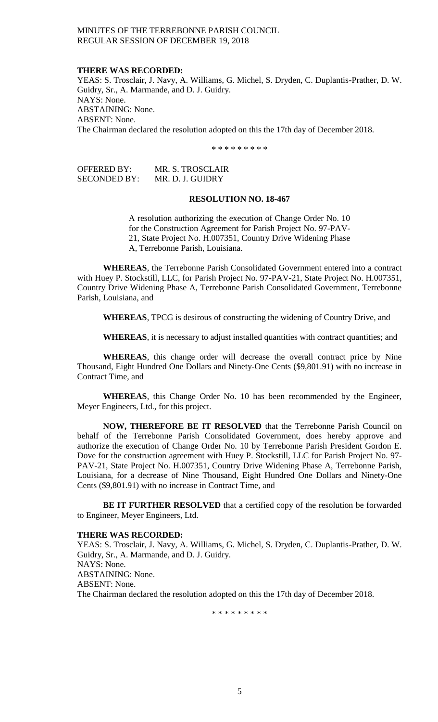### **THERE WAS RECORDED:**

YEAS: S. Trosclair, J. Navy, A. Williams, G. Michel, S. Dryden, C. Duplantis-Prather, D. W. Guidry, Sr., A. Marmande, and D. J. Guidry. NAYS: None. ABSTAINING: None. ABSENT: None. The Chairman declared the resolution adopted on this the 17th day of December 2018.

\* \* \* \* \* \* \* \* \*

| OFFERED BY:  | MR. S. TROSCLAIR |
|--------------|------------------|
| SECONDED BY: | MR. D. J. GUIDRY |

# **RESOLUTION NO. 18-467**

A resolution authorizing the execution of Change Order No. 10 for the Construction Agreement for Parish Project No. 97-PAV-21, State Project No. H.007351, Country Drive Widening Phase A, Terrebonne Parish, Louisiana.

**WHEREAS**, the Terrebonne Parish Consolidated Government entered into a contract with Huey P. Stockstill, LLC, for Parish Project No. 97-PAV-21, State Project No. H.007351, Country Drive Widening Phase A, Terrebonne Parish Consolidated Government, Terrebonne Parish, Louisiana, and

**WHEREAS**, TPCG is desirous of constructing the widening of Country Drive, and

WHEREAS, it is necessary to adjust installed quantities with contract quantities; and

**WHEREAS**, this change order will decrease the overall contract price by Nine Thousand, Eight Hundred One Dollars and Ninety-One Cents (\$9,801.91) with no increase in Contract Time, and

**WHEREAS**, this Change Order No. 10 has been recommended by the Engineer, Meyer Engineers, Ltd., for this project.

**NOW, THEREFORE BE IT RESOLVED** that the Terrebonne Parish Council on behalf of the Terrebonne Parish Consolidated Government, does hereby approve and authorize the execution of Change Order No. 10 by Terrebonne Parish President Gordon E. Dove for the construction agreement with Huey P. Stockstill, LLC for Parish Project No. 97- PAV-21, State Project No. H.007351, Country Drive Widening Phase A, Terrebonne Parish, Louisiana, for a decrease of Nine Thousand, Eight Hundred One Dollars and Ninety-One Cents (\$9,801.91) with no increase in Contract Time, and

**BE IT FURTHER RESOLVED** that a certified copy of the resolution be forwarded to Engineer, Meyer Engineers, Ltd.

# **THERE WAS RECORDED:**

YEAS: S. Trosclair, J. Navy, A. Williams, G. Michel, S. Dryden, C. Duplantis-Prather, D. W. Guidry, Sr., A. Marmande, and D. J. Guidry. NAYS: None. ABSTAINING: None. ABSENT: None. The Chairman declared the resolution adopted on this the 17th day of December 2018.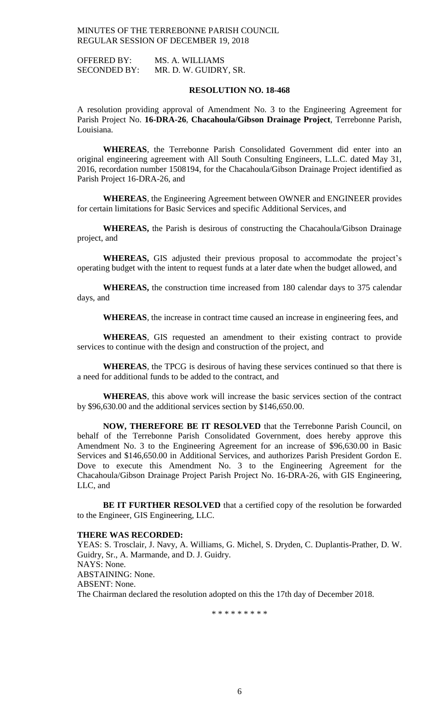OFFERED BY: MS. A. WILLIAMS SECONDED BY: MR. D. W. GUIDRY, SR.

# **RESOLUTION NO. 18-468**

A resolution providing approval of Amendment No. 3 to the Engineering Agreement for Parish Project No. **16-DRA-26**, **Chacahoula/Gibson Drainage Project**, Terrebonne Parish, Louisiana.

**WHEREAS**, the Terrebonne Parish Consolidated Government did enter into an original engineering agreement with All South Consulting Engineers, L.L.C. dated May 31, 2016, recordation number 1508194, for the Chacahoula/Gibson Drainage Project identified as Parish Project 16-DRA-26, and

**WHEREAS**, the Engineering Agreement between OWNER and ENGINEER provides for certain limitations for Basic Services and specific Additional Services, and

**WHEREAS,** the Parish is desirous of constructing the Chacahoula/Gibson Drainage project, and

**WHEREAS,** GIS adjusted their previous proposal to accommodate the project's operating budget with the intent to request funds at a later date when the budget allowed, and

**WHEREAS,** the construction time increased from 180 calendar days to 375 calendar days, and

**WHEREAS**, the increase in contract time caused an increase in engineering fees, and

**WHEREAS**, GIS requested an amendment to their existing contract to provide services to continue with the design and construction of the project, and

**WHEREAS**, the TPCG is desirous of having these services continued so that there is a need for additional funds to be added to the contract, and

**WHEREAS**, this above work will increase the basic services section of the contract by \$96,630.00 and the additional services section by \$146,650.00.

**NOW, THEREFORE BE IT RESOLVED** that the Terrebonne Parish Council, on behalf of the Terrebonne Parish Consolidated Government, does hereby approve this Amendment No. 3 to the Engineering Agreement for an increase of \$96,630.00 in Basic Services and \$146,650.00 in Additional Services, and authorizes Parish President Gordon E. Dove to execute this Amendment No. 3 to the Engineering Agreement for the Chacahoula/Gibson Drainage Project Parish Project No. 16-DRA-26, with GIS Engineering, LLC, and

**BE IT FURTHER RESOLVED** that a certified copy of the resolution be forwarded to the Engineer, GIS Engineering, LLC.

# **THERE WAS RECORDED:**

YEAS: S. Trosclair, J. Navy, A. Williams, G. Michel, S. Dryden, C. Duplantis-Prather, D. W. Guidry, Sr., A. Marmande, and D. J. Guidry. NAYS: None. ABSTAINING: None. ABSENT: None. The Chairman declared the resolution adopted on this the 17th day of December 2018.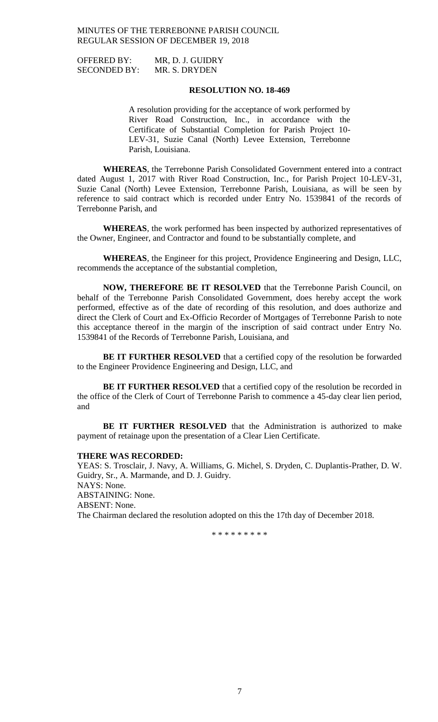OFFERED BY: MR, D. J. GUIDRY SECONDED BY: MR. S. DRYDEN

# **RESOLUTION NO. 18-469**

A resolution providing for the acceptance of work performed by River Road Construction, Inc., in accordance with the Certificate of Substantial Completion for Parish Project 10- LEV-31, Suzie Canal (North) Levee Extension, Terrebonne Parish, Louisiana.

**WHEREAS**, the Terrebonne Parish Consolidated Government entered into a contract dated August 1, 2017 with River Road Construction, Inc., for Parish Project 10-LEV-31, Suzie Canal (North) Levee Extension, Terrebonne Parish, Louisiana, as will be seen by reference to said contract which is recorded under Entry No. 1539841 of the records of Terrebonne Parish, and

**WHEREAS**, the work performed has been inspected by authorized representatives of the Owner, Engineer, and Contractor and found to be substantially complete, and

**WHEREAS**, the Engineer for this project, Providence Engineering and Design, LLC, recommends the acceptance of the substantial completion,

**NOW, THEREFORE BE IT RESOLVED** that the Terrebonne Parish Council, on behalf of the Terrebonne Parish Consolidated Government, does hereby accept the work performed, effective as of the date of recording of this resolution, and does authorize and direct the Clerk of Court and Ex-Officio Recorder of Mortgages of Terrebonne Parish to note this acceptance thereof in the margin of the inscription of said contract under Entry No. 1539841 of the Records of Terrebonne Parish, Louisiana, and

**BE IT FURTHER RESOLVED** that a certified copy of the resolution be forwarded to the Engineer Providence Engineering and Design, LLC, and

**BE IT FURTHER RESOLVED** that a certified copy of the resolution be recorded in the office of the Clerk of Court of Terrebonne Parish to commence a 45-day clear lien period, and

**BE IT FURTHER RESOLVED** that the Administration is authorized to make payment of retainage upon the presentation of a Clear Lien Certificate.

### **THERE WAS RECORDED:**

YEAS: S. Trosclair, J. Navy, A. Williams, G. Michel, S. Dryden, C. Duplantis-Prather, D. W. Guidry, Sr., A. Marmande, and D. J. Guidry. NAYS: None. ABSTAINING: None. ABSENT: None. The Chairman declared the resolution adopted on this the 17th day of December 2018.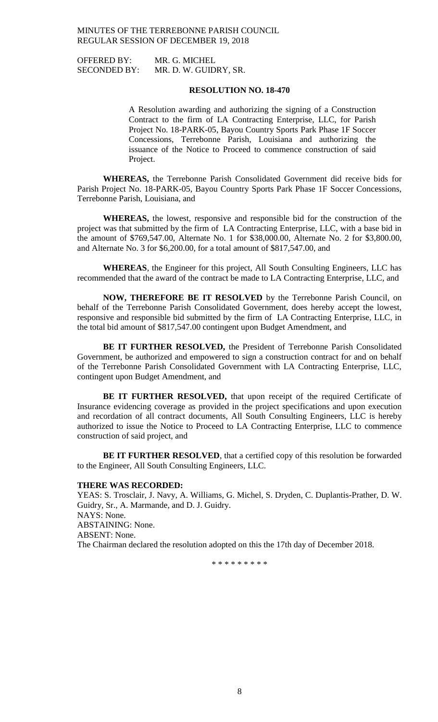OFFERED BY: MR. G. MICHEL

SECONDED BY: MR. D. W. GUIDRY, SR.

# **RESOLUTION NO. 18-470**

A Resolution awarding and authorizing the signing of a Construction Contract to the firm of LA Contracting Enterprise, LLC, for Parish Project No. 18-PARK-05, Bayou Country Sports Park Phase 1F Soccer Concessions, Terrebonne Parish, Louisiana and authorizing the issuance of the Notice to Proceed to commence construction of said Project.

**WHEREAS,** the Terrebonne Parish Consolidated Government did receive bids for Parish Project No. 18-PARK-05, Bayou Country Sports Park Phase 1F Soccer Concessions, Terrebonne Parish, Louisiana, and

**WHEREAS,** the lowest, responsive and responsible bid for the construction of the project was that submitted by the firm of LA Contracting Enterprise, LLC, with a base bid in the amount of \$769,547.00, Alternate No. 1 for \$38,000.00, Alternate No. 2 for \$3,800.00, and Alternate No. 3 for \$6,200.00, for a total amount of \$817,547.00, and

**WHEREAS**, the Engineer for this project, All South Consulting Engineers, LLC has recommended that the award of the contract be made to LA Contracting Enterprise, LLC, and

**NOW, THEREFORE BE IT RESOLVED** by the Terrebonne Parish Council, on behalf of the Terrebonne Parish Consolidated Government, does hereby accept the lowest, responsive and responsible bid submitted by the firm of LA Contracting Enterprise, LLC, in the total bid amount of \$817,547.00 contingent upon Budget Amendment, and

**BE IT FURTHER RESOLVED,** the President of Terrebonne Parish Consolidated Government, be authorized and empowered to sign a construction contract for and on behalf of the Terrebonne Parish Consolidated Government with LA Contracting Enterprise, LLC, contingent upon Budget Amendment, and

BE IT FURTHER RESOLVED, that upon receipt of the required Certificate of Insurance evidencing coverage as provided in the project specifications and upon execution and recordation of all contract documents, All South Consulting Engineers, LLC is hereby authorized to issue the Notice to Proceed to LA Contracting Enterprise, LLC to commence construction of said project, and

**BE IT FURTHER RESOLVED**, that a certified copy of this resolution be forwarded to the Engineer, All South Consulting Engineers, LLC.

#### **THERE WAS RECORDED:**

YEAS: S. Trosclair, J. Navy, A. Williams, G. Michel, S. Dryden, C. Duplantis-Prather, D. W. Guidry, Sr., A. Marmande, and D. J. Guidry. NAYS: None. ABSTAINING: None. ABSENT: None. The Chairman declared the resolution adopted on this the 17th day of December 2018.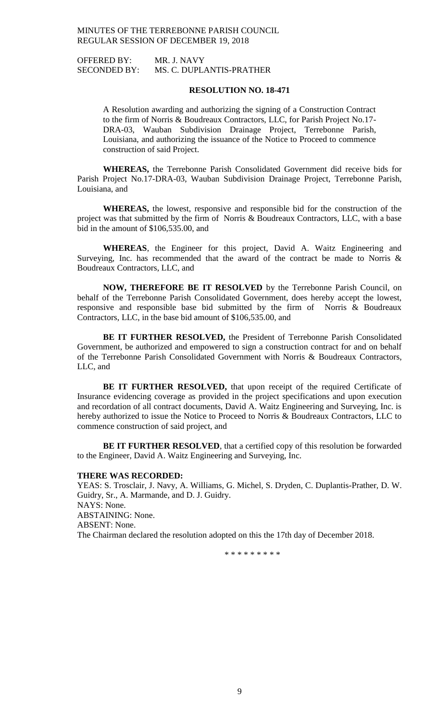OFFERED BY: MR. J. NAVY SECONDED BY: MS. C. DUPLANTIS-PRATHER

# **RESOLUTION NO. 18-471**

A Resolution awarding and authorizing the signing of a Construction Contract to the firm of Norris & Boudreaux Contractors, LLC, for Parish Project No.17- DRA-03, Wauban Subdivision Drainage Project, Terrebonne Parish, Louisiana, and authorizing the issuance of the Notice to Proceed to commence construction of said Project.

**WHEREAS,** the Terrebonne Parish Consolidated Government did receive bids for Parish Project No.17-DRA-03, Wauban Subdivision Drainage Project, Terrebonne Parish, Louisiana, and

**WHEREAS,** the lowest, responsive and responsible bid for the construction of the project was that submitted by the firm of Norris & Boudreaux Contractors, LLC, with a base bid in the amount of \$106,535.00, and

**WHEREAS**, the Engineer for this project, David A. Waitz Engineering and Surveying, Inc. has recommended that the award of the contract be made to Norris & Boudreaux Contractors, LLC, and

**NOW, THEREFORE BE IT RESOLVED** by the Terrebonne Parish Council, on behalf of the Terrebonne Parish Consolidated Government, does hereby accept the lowest, responsive and responsible base bid submitted by the firm of Norris & Boudreaux Contractors, LLC, in the base bid amount of \$106,535.00, and

**BE IT FURTHER RESOLVED,** the President of Terrebonne Parish Consolidated Government, be authorized and empowered to sign a construction contract for and on behalf of the Terrebonne Parish Consolidated Government with Norris & Boudreaux Contractors, LLC, and

BE IT FURTHER RESOLVED, that upon receipt of the required Certificate of Insurance evidencing coverage as provided in the project specifications and upon execution and recordation of all contract documents, David A. Waitz Engineering and Surveying, Inc. is hereby authorized to issue the Notice to Proceed to Norris & Boudreaux Contractors, LLC to commence construction of said project, and

**BE IT FURTHER RESOLVED**, that a certified copy of this resolution be forwarded to the Engineer, David A. Waitz Engineering and Surveying, Inc.

#### **THERE WAS RECORDED:**

YEAS: S. Trosclair, J. Navy, A. Williams, G. Michel, S. Dryden, C. Duplantis-Prather, D. W. Guidry, Sr., A. Marmande, and D. J. Guidry. NAYS: None. ABSTAINING: None. ABSENT: None. The Chairman declared the resolution adopted on this the 17th day of December 2018.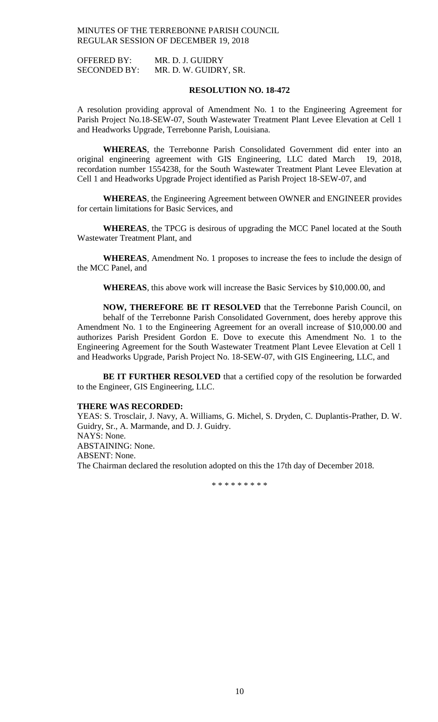OFFERED BY: MR. D. J. GUIDRY SECONDED BY: MR. D. W. GUIDRY, SR.

# **RESOLUTION NO. 18-472**

A resolution providing approval of Amendment No. 1 to the Engineering Agreement for Parish Project No.18-SEW-07, South Wastewater Treatment Plant Levee Elevation at Cell 1 and Headworks Upgrade, Terrebonne Parish, Louisiana.

**WHEREAS**, the Terrebonne Parish Consolidated Government did enter into an original engineering agreement with GIS Engineering, LLC dated March 19, 2018, recordation number 1554238, for the South Wastewater Treatment Plant Levee Elevation at Cell 1 and Headworks Upgrade Project identified as Parish Project 18-SEW-07, and

**WHEREAS**, the Engineering Agreement between OWNER and ENGINEER provides for certain limitations for Basic Services, and

**WHEREAS**, the TPCG is desirous of upgrading the MCC Panel located at the South Wastewater Treatment Plant, and

**WHEREAS**, Amendment No. 1 proposes to increase the fees to include the design of the MCC Panel, and

**WHEREAS**, this above work will increase the Basic Services by \$10,000.00, and

**NOW, THEREFORE BE IT RESOLVED** that the Terrebonne Parish Council, on behalf of the Terrebonne Parish Consolidated Government, does hereby approve this Amendment No. 1 to the Engineering Agreement for an overall increase of \$10,000.00 and authorizes Parish President Gordon E. Dove to execute this Amendment No. 1 to the Engineering Agreement for the South Wastewater Treatment Plant Levee Elevation at Cell 1 and Headworks Upgrade, Parish Project No. 18-SEW-07, with GIS Engineering, LLC, and

**BE IT FURTHER RESOLVED** that a certified copy of the resolution be forwarded to the Engineer, GIS Engineering, LLC.

#### **THERE WAS RECORDED:**

YEAS: S. Trosclair, J. Navy, A. Williams, G. Michel, S. Dryden, C. Duplantis-Prather, D. W. Guidry, Sr., A. Marmande, and D. J. Guidry. NAYS: None. ABSTAINING: None. ABSENT: None. The Chairman declared the resolution adopted on this the 17th day of December 2018.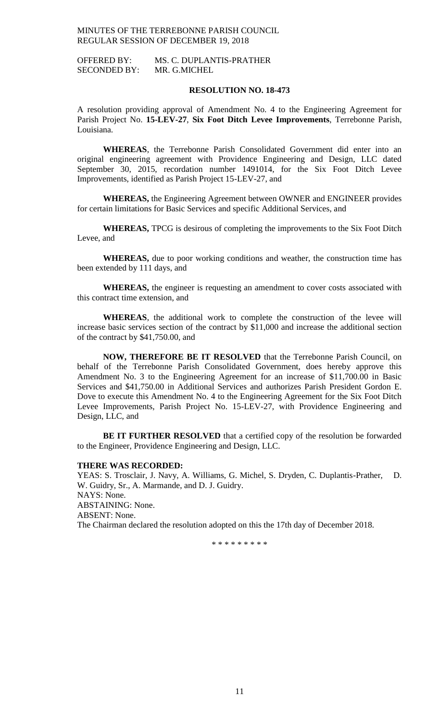OFFERED BY: MS. C. DUPLANTIS-PRATHER SECONDED BY: MR. G.MICHEL

# **RESOLUTION NO. 18-473**

A resolution providing approval of Amendment No. 4 to the Engineering Agreement for Parish Project No. **15-LEV-27**, **Six Foot Ditch Levee Improvements**, Terrebonne Parish, Louisiana.

**WHEREAS**, the Terrebonne Parish Consolidated Government did enter into an original engineering agreement with Providence Engineering and Design, LLC dated September 30, 2015, recordation number 1491014, for the Six Foot Ditch Levee Improvements, identified as Parish Project 15-LEV-27, and

**WHEREAS,** the Engineering Agreement between OWNER and ENGINEER provides for certain limitations for Basic Services and specific Additional Services, and

**WHEREAS,** TPCG is desirous of completing the improvements to the Six Foot Ditch Levee, and

**WHEREAS,** due to poor working conditions and weather, the construction time has been extended by 111 days, and

**WHEREAS,** the engineer is requesting an amendment to cover costs associated with this contract time extension, and

**WHEREAS**, the additional work to complete the construction of the levee will increase basic services section of the contract by \$11,000 and increase the additional section of the contract by \$41,750.00, and

**NOW, THEREFORE BE IT RESOLVED** that the Terrebonne Parish Council, on behalf of the Terrebonne Parish Consolidated Government, does hereby approve this Amendment No. 3 to the Engineering Agreement for an increase of \$11,700.00 in Basic Services and \$41,750.00 in Additional Services and authorizes Parish President Gordon E. Dove to execute this Amendment No. 4 to the Engineering Agreement for the Six Foot Ditch Levee Improvements, Parish Project No. 15-LEV-27, with Providence Engineering and Design, LLC, and

**BE IT FURTHER RESOLVED** that a certified copy of the resolution be forwarded to the Engineer, Providence Engineering and Design, LLC.

### **THERE WAS RECORDED:**

YEAS: S. Trosclair, J. Navy, A. Williams, G. Michel, S. Dryden, C. Duplantis-Prather, D. W. Guidry, Sr., A. Marmande, and D. J. Guidry. NAYS: None. ABSTAINING: None. ABSENT: None. The Chairman declared the resolution adopted on this the 17th day of December 2018.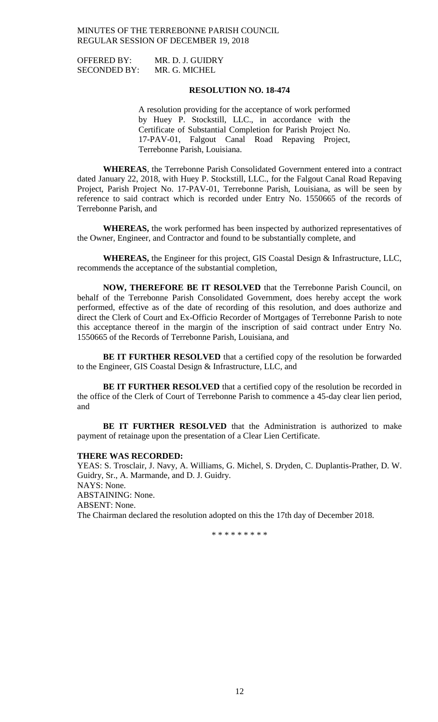OFFERED BY: MR. D. J. GUIDRY SECONDED BY: MR. G. MICHEL

# **RESOLUTION NO. 18-474**

A resolution providing for the acceptance of work performed by Huey P. Stockstill, LLC., in accordance with the Certificate of Substantial Completion for Parish Project No. 17-PAV-01, Falgout Canal Road Repaving Project, Terrebonne Parish, Louisiana.

**WHEREAS**, the Terrebonne Parish Consolidated Government entered into a contract dated January 22, 2018, with Huey P. Stockstill, LLC., for the Falgout Canal Road Repaving Project, Parish Project No. 17-PAV-01, Terrebonne Parish, Louisiana, as will be seen by reference to said contract which is recorded under Entry No. 1550665 of the records of Terrebonne Parish, and

**WHEREAS,** the work performed has been inspected by authorized representatives of the Owner, Engineer, and Contractor and found to be substantially complete, and

**WHEREAS,** the Engineer for this project, GIS Coastal Design & Infrastructure, LLC, recommends the acceptance of the substantial completion,

**NOW, THEREFORE BE IT RESOLVED** that the Terrebonne Parish Council, on behalf of the Terrebonne Parish Consolidated Government, does hereby accept the work performed, effective as of the date of recording of this resolution, and does authorize and direct the Clerk of Court and Ex-Officio Recorder of Mortgages of Terrebonne Parish to note this acceptance thereof in the margin of the inscription of said contract under Entry No. 1550665 of the Records of Terrebonne Parish, Louisiana, and

**BE IT FURTHER RESOLVED** that a certified copy of the resolution be forwarded to the Engineer, GIS Coastal Design & Infrastructure, LLC, and

**BE IT FURTHER RESOLVED** that a certified copy of the resolution be recorded in the office of the Clerk of Court of Terrebonne Parish to commence a 45-day clear lien period, and

**BE IT FURTHER RESOLVED** that the Administration is authorized to make payment of retainage upon the presentation of a Clear Lien Certificate.

### **THERE WAS RECORDED:**

YEAS: S. Trosclair, J. Navy, A. Williams, G. Michel, S. Dryden, C. Duplantis-Prather, D. W. Guidry, Sr., A. Marmande, and D. J. Guidry. NAYS: None. ABSTAINING: None. ABSENT: None. The Chairman declared the resolution adopted on this the 17th day of December 2018.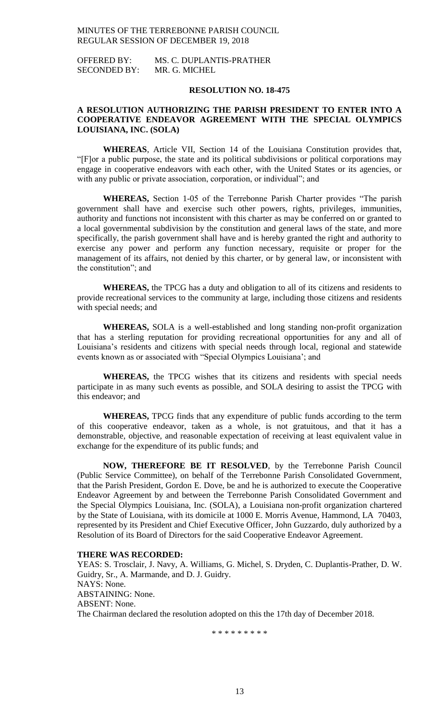OFFERED BY: MS. C. DUPLANTIS-PRATHER SECONDED BY: MR. G. MICHEL

# **RESOLUTION NO. 18-475**

# **A RESOLUTION AUTHORIZING THE PARISH PRESIDENT TO ENTER INTO A COOPERATIVE ENDEAVOR AGREEMENT WITH THE SPECIAL OLYMPICS LOUISIANA, INC. (SOLA)**

**WHEREAS**, Article VII, Section 14 of the Louisiana Constitution provides that, "[F]or a public purpose, the state and its political subdivisions or political corporations may engage in cooperative endeavors with each other, with the United States or its agencies, or with any public or private association, corporation, or individual"; and

**WHEREAS,** Section 1-05 of the Terrebonne Parish Charter provides "The parish government shall have and exercise such other powers, rights, privileges, immunities, authority and functions not inconsistent with this charter as may be conferred on or granted to a local governmental subdivision by the constitution and general laws of the state, and more specifically, the parish government shall have and is hereby granted the right and authority to exercise any power and perform any function necessary, requisite or proper for the management of its affairs, not denied by this charter, or by general law, or inconsistent with the constitution"; and

**WHEREAS,** the TPCG has a duty and obligation to all of its citizens and residents to provide recreational services to the community at large, including those citizens and residents with special needs; and

**WHEREAS,** SOLA is a well-established and long standing non-profit organization that has a sterling reputation for providing recreational opportunities for any and all of Louisiana's residents and citizens with special needs through local, regional and statewide events known as or associated with "Special Olympics Louisiana'; and

**WHEREAS,** the TPCG wishes that its citizens and residents with special needs participate in as many such events as possible, and SOLA desiring to assist the TPCG with this endeavor; and

**WHEREAS,** TPCG finds that any expenditure of public funds according to the term of this cooperative endeavor, taken as a whole, is not gratuitous, and that it has a demonstrable, objective, and reasonable expectation of receiving at least equivalent value in exchange for the expenditure of its public funds; and

**NOW, THEREFORE BE IT RESOLVED**, by the Terrebonne Parish Council (Public Service Committee), on behalf of the Terrebonne Parish Consolidated Government, that the Parish President, Gordon E. Dove, be and he is authorized to execute the Cooperative Endeavor Agreement by and between the Terrebonne Parish Consolidated Government and the Special Olympics Louisiana, Inc. (SOLA), a Louisiana non-profit organization chartered by the State of Louisiana, with its domicile at 1000 E. Morris Avenue, Hammond, LA 70403, represented by its President and Chief Executive Officer, John Guzzardo, duly authorized by a Resolution of its Board of Directors for the said Cooperative Endeavor Agreement.

### **THERE WAS RECORDED:**

YEAS: S. Trosclair, J. Navy, A. Williams, G. Michel, S. Dryden, C. Duplantis-Prather, D. W. Guidry, Sr., A. Marmande, and D. J. Guidry. NAYS: None. ABSTAINING: None. ABSENT: None. The Chairman declared the resolution adopted on this the 17th day of December 2018.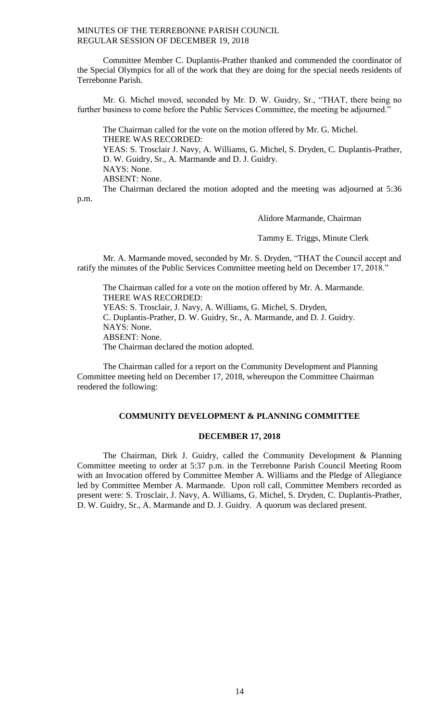Committee Member C. Duplantis-Prather thanked and commended the coordinator of the Special Olympics for all of the work that they are doing for the special needs residents of Terrebonne Parish.

Mr. G. Michel moved, seconded by Mr. D. W. Guidry, Sr., "THAT, there being no further business to come before the Public Services Committee, the meeting be adjourned."

The Chairman called for the vote on the motion offered by Mr. G. Michel. THERE WAS RECORDED: YEAS: S. Trosclair J. Navy, A. Williams, G. Michel, S. Dryden, C. Duplantis-Prather, D. W. Guidry, Sr., A. Marmande and D. J. Guidry. NAYS: None. ABSENT: None.

The Chairman declared the motion adopted and the meeting was adjourned at 5:36 p.m.

Alidore Marmande, Chairman

Tammy E. Triggs, Minute Clerk

Mr. A. Marmande moved, seconded by Mr. S. Dryden, "THAT the Council accept and ratify the minutes of the Public Services Committee meeting held on December 17, 2018."

The Chairman called for a vote on the motion offered by Mr. A. Marmande. THERE WAS RECORDED: YEAS: S. Trosclair, J. Navy, A. Williams, G. Michel, S. Dryden, C. Duplantis-Prather, D. W. Guidry, Sr., A. Marmande, and D. J. Guidry. NAYS: None. ABSENT: None. The Chairman declared the motion adopted.

The Chairman called for a report on the Community Development and Planning Committee meeting held on December 17, 2018, whereupon the Committee Chairman rendered the following:

### **COMMUNITY DEVELOPMENT & PLANNING COMMITTEE**

# **DECEMBER 17, 2018**

The Chairman, Dirk J. Guidry, called the Community Development & Planning Committee meeting to order at 5:37 p.m. in the Terrebonne Parish Council Meeting Room with an Invocation offered by Committee Member A. Williams and the Pledge of Allegiance led by Committee Member A. Marmande. Upon roll call, Committee Members recorded as present were: S. Trosclair, J. Navy, A. Williams, G. Michel, S. Dryden, C. Duplantis-Prather, D. W. Guidry, Sr., A. Marmande and D. J. Guidry. A quorum was declared present.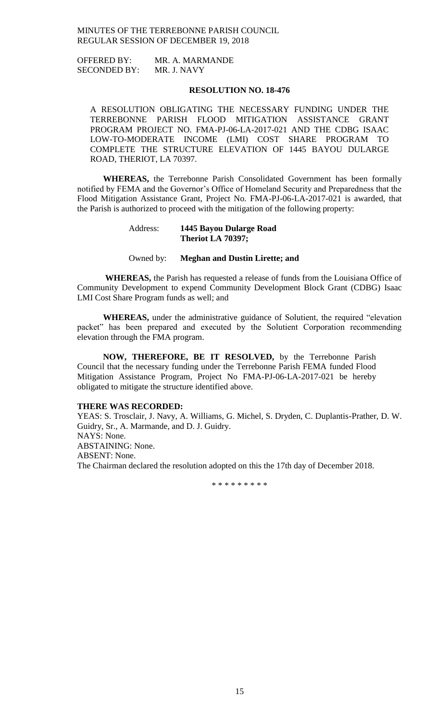OFFERED BY: MR. A. MARMANDE SECONDED BY: MR. J. NAVY

# **RESOLUTION NO. 18-476**

A RESOLUTION OBLIGATING THE NECESSARY FUNDING UNDER THE TERREBONNE PARISH FLOOD MITIGATION ASSISTANCE GRANT PROGRAM PROJECT NO. FMA-PJ-06-LA-2017-021 AND THE CDBG ISAAC LOW-TO-MODERATE INCOME (LMI) COST SHARE PROGRAM TO COMPLETE THE STRUCTURE ELEVATION OF 1445 BAYOU DULARGE ROAD, THERIOT, LA 70397.

**WHEREAS,** the Terrebonne Parish Consolidated Government has been formally notified by FEMA and the Governor's Office of Homeland Security and Preparedness that the Flood Mitigation Assistance Grant, Project No. FMA-PJ-06-LA-2017-021 is awarded, that the Parish is authorized to proceed with the mitigation of the following property:

# Address: **1445 Bayou Dularge Road Theriot LA 70397;**

# Owned by: **Meghan and Dustin Lirette; and**

**WHEREAS,** the Parish has requested a release of funds from the Louisiana Office of Community Development to expend Community Development Block Grant (CDBG) Isaac LMI Cost Share Program funds as well; and

**WHEREAS,** under the administrative guidance of Solutient, the required "elevation packet" has been prepared and executed by the Solutient Corporation recommending elevation through the FMA program.

**NOW, THEREFORE, BE IT RESOLVED,** by the Terrebonne Parish Council that the necessary funding under the Terrebonne Parish FEMA funded Flood Mitigation Assistance Program, Project No FMA-PJ-06-LA-2017-021 be hereby obligated to mitigate the structure identified above.

#### **THERE WAS RECORDED:**

YEAS: S. Trosclair, J. Navy, A. Williams, G. Michel, S. Dryden, C. Duplantis-Prather, D. W. Guidry, Sr., A. Marmande, and D. J. Guidry. NAYS: None. ABSTAINING: None. ABSENT: None. The Chairman declared the resolution adopted on this the 17th day of December 2018.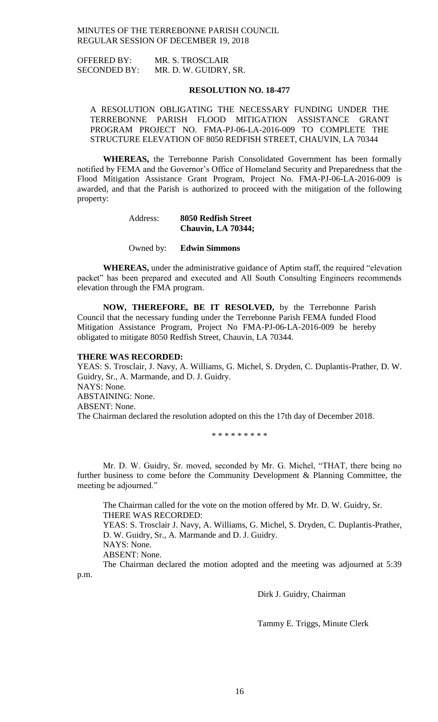OFFERED BY: MR. S. TROSCLAIR SECONDED BY: MR. D. W. GUIDRY, SR.

### **RESOLUTION NO. 18-477**

A RESOLUTION OBLIGATING THE NECESSARY FUNDING UNDER THE TERREBONNE PARISH FLOOD MITIGATION ASSISTANCE GRANT PROGRAM PROJECT NO. FMA-PJ-06-LA-2016-009 TO COMPLETE THE STRUCTURE ELEVATION OF 8050 REDFISH STREET, CHAUVIN, LA 70344

**WHEREAS,** the Terrebonne Parish Consolidated Government has been formally notified by FEMA and the Governor's Office of Homeland Security and Preparedness that the Flood Mitigation Assistance Grant Program, Project No. FMA-PJ-06-LA-2016-009 is awarded, and that the Parish is authorized to proceed with the mitigation of the following property:

# Address: **8050 Redfish Street Chauvin, LA 70344;**

### Owned by: **Edwin Simmons**

**WHEREAS,** under the administrative guidance of Aptim staff, the required "elevation packet" has been prepared and executed and All South Consulting Engineers recommends elevation through the FMA program.

**NOW, THEREFORE, BE IT RESOLVED,** by the Terrebonne Parish Council that the necessary funding under the Terrebonne Parish FEMA funded Flood Mitigation Assistance Program, Project No FMA-PJ-06-LA-2016-009 be hereby obligated to mitigate 8050 Redfish Street, Chauvin, LA 70344.

### **THERE WAS RECORDED:**

YEAS: S. Trosclair, J. Navy, A. Williams, G. Michel, S. Dryden, C. Duplantis-Prather, D. W. Guidry, Sr., A. Marmande, and D. J. Guidry. NAYS: None. ABSTAINING: None. ABSENT: None. The Chairman declared the resolution adopted on this the 17th day of December 2018.

\* \* \* \* \* \* \* \* \*

Mr. D. W. Guidry, Sr. moved, seconded by Mr. G. Michel, "THAT, there being no further business to come before the Community Development & Planning Committee, the meeting be adjourned."

The Chairman called for the vote on the motion offered by Mr. D. W. Guidry, Sr. THERE WAS RECORDED: YEAS: S. Trosclair J. Navy, A. Williams, G. Michel, S. Dryden, C. Duplantis-Prather, D. W. Guidry, Sr., A. Marmande and D. J. Guidry. NAYS: None. ABSENT: None. The Chairman declared the motion adopted and the meeting was adjourned at 5:39

p.m.

Dirk J. Guidry, Chairman

Tammy E. Triggs, Minute Clerk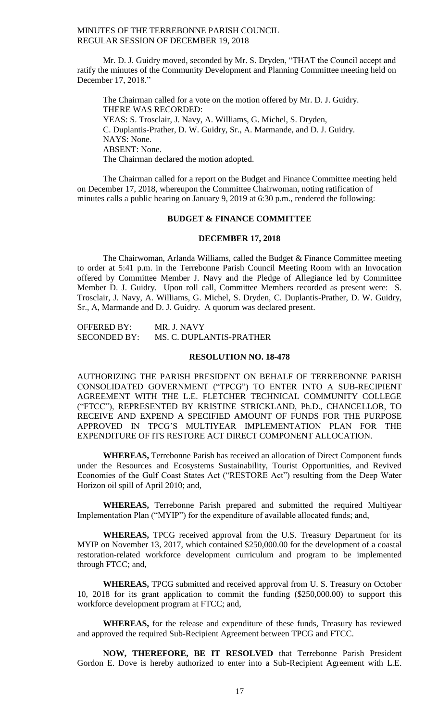Mr. D. J. Guidry moved, seconded by Mr. S. Dryden, "THAT the Council accept and ratify the minutes of the Community Development and Planning Committee meeting held on December 17, 2018."

The Chairman called for a vote on the motion offered by Mr. D. J. Guidry. THERE WAS RECORDED: YEAS: S. Trosclair, J. Navy, A. Williams, G. Michel, S. Dryden, C. Duplantis-Prather, D. W. Guidry, Sr., A. Marmande, and D. J. Guidry. NAYS: None. ABSENT: None. The Chairman declared the motion adopted.

The Chairman called for a report on the Budget and Finance Committee meeting held on December 17, 2018, whereupon the Committee Chairwoman, noting ratification of minutes calls a public hearing on January 9, 2019 at 6:30 p.m., rendered the following:

# **BUDGET & FINANCE COMMITTEE**

# **DECEMBER 17, 2018**

The Chairwoman, Arlanda Williams, called the Budget & Finance Committee meeting to order at 5:41 p.m. in the Terrebonne Parish Council Meeting Room with an Invocation offered by Committee Member J. Navy and the Pledge of Allegiance led by Committee Member D. J. Guidry. Upon roll call, Committee Members recorded as present were: S. Trosclair, J. Navy, A. Williams, G. Michel, S. Dryden, C. Duplantis-Prather, D. W. Guidry, Sr., A, Marmande and D. J. Guidry. A quorum was declared present.

OFFERED BY: MR. J. NAVY SECONDED BY: MS. C. DUPLANTIS-PRATHER

### **RESOLUTION NO. 18-478**

AUTHORIZING THE PARISH PRESIDENT ON BEHALF OF TERREBONNE PARISH CONSOLIDATED GOVERNMENT ("TPCG") TO ENTER INTO A SUB-RECIPIENT AGREEMENT WITH THE L.E. FLETCHER TECHNICAL COMMUNITY COLLEGE ("FTCC"), REPRESENTED BY KRISTINE STRICKLAND, Ph.D., CHANCELLOR, TO RECEIVE AND EXPEND A SPECIFIED AMOUNT OF FUNDS FOR THE PURPOSE APPROVED IN TPCG'S MULTIYEAR IMPLEMENTATION PLAN FOR THE EXPENDITURE OF ITS RESTORE ACT DIRECT COMPONENT ALLOCATION.

**WHEREAS,** Terrebonne Parish has received an allocation of Direct Component funds under the Resources and Ecosystems Sustainability, Tourist Opportunities, and Revived Economies of the Gulf Coast States Act ("RESTORE Act") resulting from the Deep Water Horizon oil spill of April 2010; and,

**WHEREAS,** Terrebonne Parish prepared and submitted the required Multiyear Implementation Plan ("MYIP") for the expenditure of available allocated funds; and,

**WHEREAS,** TPCG received approval from the U.S. Treasury Department for its MYIP on November 13, 2017, which contained \$250,000.00 for the development of a coastal restoration-related workforce development curriculum and program to be implemented through FTCC; and,

**WHEREAS,** TPCG submitted and received approval from U. S. Treasury on October 10, 2018 for its grant application to commit the funding (\$250,000.00) to support this workforce development program at FTCC; and,

**WHEREAS,** for the release and expenditure of these funds, Treasury has reviewed and approved the required Sub-Recipient Agreement between TPCG and FTCC.

**NOW, THEREFORE, BE IT RESOLVED** that Terrebonne Parish President Gordon E. Dove is hereby authorized to enter into a Sub-Recipient Agreement with L.E.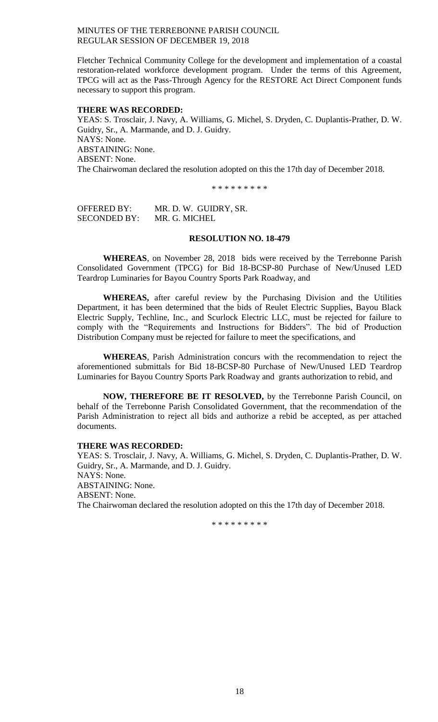Fletcher Technical Community College for the development and implementation of a coastal restoration-related workforce development program. Under the terms of this Agreement, TPCG will act as the Pass-Through Agency for the RESTORE Act Direct Component funds necessary to support this program.

### **THERE WAS RECORDED:**

YEAS: S. Trosclair, J. Navy, A. Williams, G. Michel, S. Dryden, C. Duplantis-Prather, D. W. Guidry, Sr., A. Marmande, and D. J. Guidry. NAYS: None. ABSTAINING: None. ABSENT: None. The Chairwoman declared the resolution adopted on this the 17th day of December 2018.

\* \* \* \* \* \* \* \* \*

OFFERED BY: MR. D. W. GUIDRY, SR. SECONDED BY: MR. G. MICHEL

# **RESOLUTION NO. 18-479**

**WHEREAS**, on November 28, 2018 bids were received by the Terrebonne Parish Consolidated Government (TPCG) for Bid 18-BCSP-80 Purchase of New/Unused LED Teardrop Luminaries for Bayou Country Sports Park Roadway, and

**WHEREAS,** after careful review by the Purchasing Division and the Utilities Department, it has been determined that the bids of Reulet Electric Supplies, Bayou Black Electric Supply, Techline, Inc., and Scurlock Electric LLC, must be rejected for failure to comply with the "Requirements and Instructions for Bidders". The bid of Production Distribution Company must be rejected for failure to meet the specifications, and

**WHEREAS**, Parish Administration concurs with the recommendation to reject the aforementioned submittals for Bid 18-BCSP-80 Purchase of New/Unused LED Teardrop Luminaries for Bayou Country Sports Park Roadway and grants authorization to rebid, and

**NOW, THEREFORE BE IT RESOLVED,** by the Terrebonne Parish Council, on behalf of the Terrebonne Parish Consolidated Government, that the recommendation of the Parish Administration to reject all bids and authorize a rebid be accepted, as per attached documents.

### **THERE WAS RECORDED:**

YEAS: S. Trosclair, J. Navy, A. Williams, G. Michel, S. Dryden, C. Duplantis-Prather, D. W. Guidry, Sr., A. Marmande, and D. J. Guidry. NAYS: None. ABSTAINING: None. ABSENT: None. The Chairwoman declared the resolution adopted on this the 17th day of December 2018.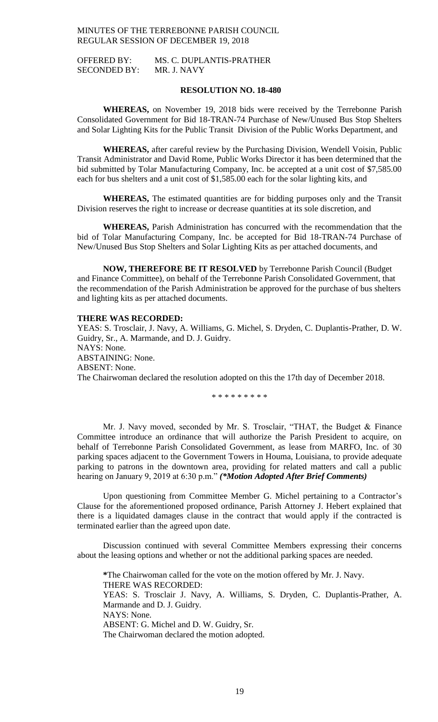OFFERED BY: MS. C. DUPLANTIS-PRATHER SECONDED BY: MR. J. NAVY

# **RESOLUTION NO. 18-480**

**WHEREAS,** on November 19, 2018 bids were received by the Terrebonne Parish Consolidated Government for Bid 18-TRAN-74 Purchase of New/Unused Bus Stop Shelters and Solar Lighting Kits for the Public Transit Division of the Public Works Department, and

**WHEREAS,** after careful review by the Purchasing Division, Wendell Voisin, Public Transit Administrator and David Rome, Public Works Director it has been determined that the bid submitted by Tolar Manufacturing Company, Inc. be accepted at a unit cost of \$7,585.00 each for bus shelters and a unit cost of \$1,585.00 each for the solar lighting kits, and

**WHEREAS,** The estimated quantities are for bidding purposes only and the Transit Division reserves the right to increase or decrease quantities at its sole discretion, and

**WHEREAS,** Parish Administration has concurred with the recommendation that the bid of Tolar Manufacturing Company, Inc. be accepted for Bid 18-TRAN-74 Purchase of New/Unused Bus Stop Shelters and Solar Lighting Kits as per attached documents, and

**NOW, THEREFORE BE IT RESOLVED** by Terrebonne Parish Council (Budget and Finance Committee), on behalf of the Terrebonne Parish Consolidated Government, that the recommendation of the Parish Administration be approved for the purchase of bus shelters and lighting kits as per attached documents.

# **THERE WAS RECORDED:**

YEAS: S. Trosclair, J. Navy, A. Williams, G. Michel, S. Dryden, C. Duplantis-Prather, D. W. Guidry, Sr., A. Marmande, and D. J. Guidry. NAYS: None. ABSTAINING: None. ABSENT: None. The Chairwoman declared the resolution adopted on this the 17th day of December 2018.

\* \* \* \* \* \* \* \* \*

Mr. J. Navy moved, seconded by Mr. S. Trosclair, "THAT, the Budget & Finance Committee introduce an ordinance that will authorize the Parish President to acquire, on behalf of Terrebonne Parish Consolidated Government, as lease from MARFO, Inc. of 30 parking spaces adjacent to the Government Towers in Houma, Louisiana, to provide adequate parking to patrons in the downtown area, providing for related matters and call a public hearing on January 9, 2019 at 6:30 p.m." *(\*Motion Adopted After Brief Comments)*

Upon questioning from Committee Member G. Michel pertaining to a Contractor's Clause for the aforementioned proposed ordinance, Parish Attorney J. Hebert explained that there is a liquidated damages clause in the contract that would apply if the contracted is terminated earlier than the agreed upon date.

Discussion continued with several Committee Members expressing their concerns about the leasing options and whether or not the additional parking spaces are needed.

**\***The Chairwoman called for the vote on the motion offered by Mr. J. Navy. THERE WAS RECORDED: YEAS: S. Trosclair J. Navy, A. Williams, S. Dryden, C. Duplantis-Prather, A. Marmande and D. J. Guidry. NAYS: None. ABSENT: G. Michel and D. W. Guidry, Sr. The Chairwoman declared the motion adopted.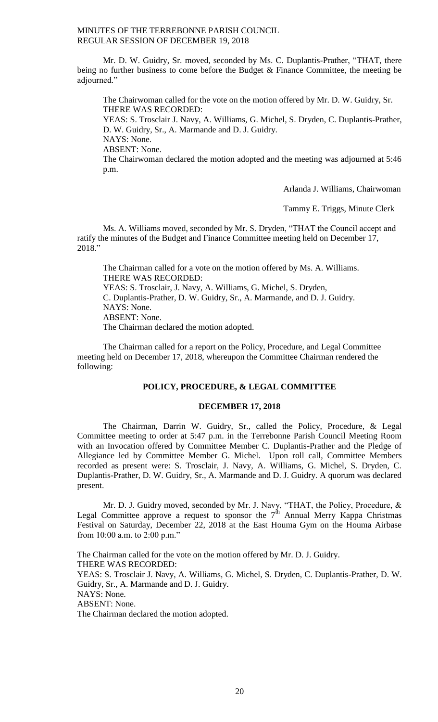Mr. D. W. Guidry, Sr. moved, seconded by Ms. C. Duplantis-Prather, "THAT, there being no further business to come before the Budget  $\&$  Finance Committee, the meeting be adjourned."

The Chairwoman called for the vote on the motion offered by Mr. D. W. Guidry, Sr. THERE WAS RECORDED:

YEAS: S. Trosclair J. Navy, A. Williams, G. Michel, S. Dryden, C. Duplantis-Prather, D. W. Guidry, Sr., A. Marmande and D. J. Guidry.

NAYS: None.

ABSENT: None.

The Chairwoman declared the motion adopted and the meeting was adjourned at 5:46 p.m.

Arlanda J. Williams, Chairwoman

Tammy E. Triggs, Minute Clerk

Ms. A. Williams moved, seconded by Mr. S. Dryden, "THAT the Council accept and ratify the minutes of the Budget and Finance Committee meeting held on December 17, 2018."

The Chairman called for a vote on the motion offered by Ms. A. Williams. THERE WAS RECORDED: YEAS: S. Trosclair, J. Navy, A. Williams, G. Michel, S. Dryden, C. Duplantis-Prather, D. W. Guidry, Sr., A. Marmande, and D. J. Guidry. NAYS: None. ABSENT: None. The Chairman declared the motion adopted.

The Chairman called for a report on the Policy, Procedure, and Legal Committee meeting held on December 17, 2018, whereupon the Committee Chairman rendered the following:

# **POLICY, PROCEDURE, & LEGAL COMMITTEE**

#### **DECEMBER 17, 2018**

The Chairman, Darrin W. Guidry, Sr., called the Policy, Procedure, & Legal Committee meeting to order at 5:47 p.m. in the Terrebonne Parish Council Meeting Room with an Invocation offered by Committee Member C. Duplantis-Prather and the Pledge of Allegiance led by Committee Member G. Michel. Upon roll call, Committee Members recorded as present were: S. Trosclair, J. Navy, A. Williams, G. Michel, S. Dryden, C. Duplantis-Prather, D. W. Guidry, Sr., A. Marmande and D. J. Guidry. A quorum was declared present.

Mr. D. J. Guidry moved, seconded by Mr. J. Navy, "THAT, the Policy, Procedure, & Legal Committee approve a request to sponsor the  $7<sup>th</sup>$  Annual Merry Kappa Christmas Festival on Saturday, December 22, 2018 at the East Houma Gym on the Houma Airbase from 10:00 a.m. to 2:00 p.m."

The Chairman called for the vote on the motion offered by Mr. D. J. Guidry. THERE WAS RECORDED: YEAS: S. Trosclair J. Navy, A. Williams, G. Michel, S. Dryden, C. Duplantis-Prather, D. W. Guidry, Sr., A. Marmande and D. J. Guidry. NAYS: None. ABSENT: None. The Chairman declared the motion adopted.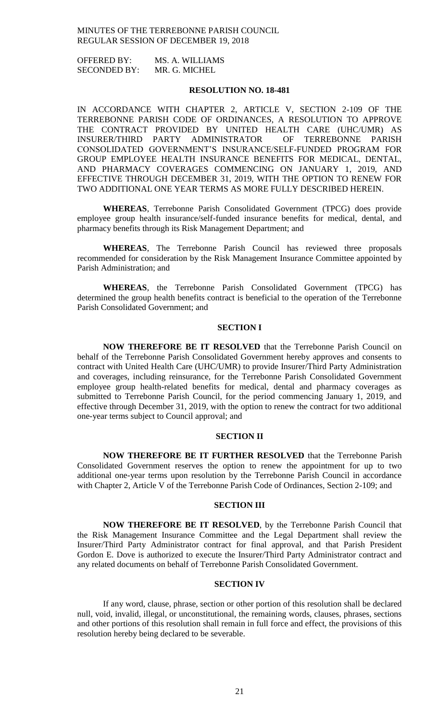OFFERED BY: MS. A. WILLIAMS SECONDED BY: MR. G. MICHEL

# **RESOLUTION NO. 18-481**

IN ACCORDANCE WITH CHAPTER 2, ARTICLE V, SECTION 2-109 OF THE TERREBONNE PARISH CODE OF ORDINANCES, A RESOLUTION TO APPROVE THE CONTRACT PROVIDED BY UNITED HEALTH CARE (UHC/UMR) AS INSURER/THIRD PARTY ADMINISTRATOR OF TERREBONNE PARISH CONSOLIDATED GOVERNMENT'S INSURANCE/SELF-FUNDED PROGRAM FOR GROUP EMPLOYEE HEALTH INSURANCE BENEFITS FOR MEDICAL, DENTAL, AND PHARMACY COVERAGES COMMENCING ON JANUARY 1, 2019, AND EFFECTIVE THROUGH DECEMBER 31, 2019, WITH THE OPTION TO RENEW FOR TWO ADDITIONAL ONE YEAR TERMS AS MORE FULLY DESCRIBED HEREIN.

**WHEREAS**, Terrebonne Parish Consolidated Government (TPCG) does provide employee group health insurance/self-funded insurance benefits for medical, dental, and pharmacy benefits through its Risk Management Department; and

**WHEREAS**, The Terrebonne Parish Council has reviewed three proposals recommended for consideration by the Risk Management Insurance Committee appointed by Parish Administration; and

**WHEREAS**, the Terrebonne Parish Consolidated Government (TPCG) has determined the group health benefits contract is beneficial to the operation of the Terrebonne Parish Consolidated Government; and

# **SECTION I**

**NOW THEREFORE BE IT RESOLVED** that the Terrebonne Parish Council on behalf of the Terrebonne Parish Consolidated Government hereby approves and consents to contract with United Health Care (UHC/UMR) to provide Insurer/Third Party Administration and coverages, including reinsurance, for the Terrebonne Parish Consolidated Government employee group health-related benefits for medical, dental and pharmacy coverages as submitted to Terrebonne Parish Council, for the period commencing January 1, 2019, and effective through December 31, 2019, with the option to renew the contract for two additional one-year terms subject to Council approval; and

# **SECTION II**

**NOW THEREFORE BE IT FURTHER RESOLVED** that the Terrebonne Parish Consolidated Government reserves the option to renew the appointment for up to two additional one-year terms upon resolution by the Terrebonne Parish Council in accordance with Chapter 2, Article V of the Terrebonne Parish Code of Ordinances, Section 2-109; and

### **SECTION III**

**NOW THEREFORE BE IT RESOLVED**, by the Terrebonne Parish Council that the Risk Management Insurance Committee and the Legal Department shall review the Insurer/Third Party Administrator contract for final approval, and that Parish President Gordon E. Dove is authorized to execute the Insurer/Third Party Administrator contract and any related documents on behalf of Terrebonne Parish Consolidated Government.

# **SECTION IV**

If any word, clause, phrase, section or other portion of this resolution shall be declared null, void, invalid, illegal, or unconstitutional, the remaining words, clauses, phrases, sections and other portions of this resolution shall remain in full force and effect, the provisions of this resolution hereby being declared to be severable.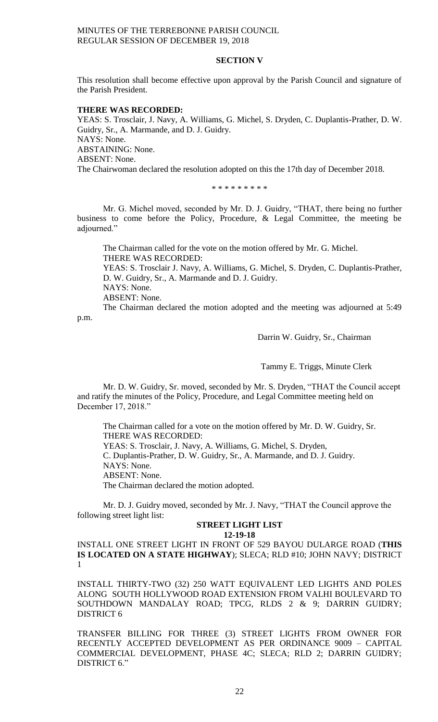# **SECTION V**

This resolution shall become effective upon approval by the Parish Council and signature of the Parish President.

### **THERE WAS RECORDED:**

YEAS: S. Trosclair, J. Navy, A. Williams, G. Michel, S. Dryden, C. Duplantis-Prather, D. W. Guidry, Sr., A. Marmande, and D. J. Guidry. NAYS: None. ABSTAINING: None. ABSENT: None. The Chairwoman declared the resolution adopted on this the 17th day of December 2018.

\* \* \* \* \* \* \* \* \*

Mr. G. Michel moved, seconded by Mr. D. J. Guidry, "THAT, there being no further business to come before the Policy, Procedure, & Legal Committee, the meeting be adjourned."

The Chairman called for the vote on the motion offered by Mr. G. Michel. THERE WAS RECORDED: YEAS: S. Trosclair J. Navy, A. Williams, G. Michel, S. Dryden, C. Duplantis-Prather, D. W. Guidry, Sr., A. Marmande and D. J. Guidry. NAYS: None. ABSENT: None. The Chairman declared the motion adopted and the meeting was adjourned at 5:49

p.m.

Darrin W. Guidry, Sr., Chairman

Tammy E. Triggs, Minute Clerk

Mr. D. W. Guidry, Sr. moved, seconded by Mr. S. Dryden, "THAT the Council accept and ratify the minutes of the Policy, Procedure, and Legal Committee meeting held on December 17, 2018."

The Chairman called for a vote on the motion offered by Mr. D. W. Guidry, Sr. THERE WAS RECORDED: YEAS: S. Trosclair, J. Navy, A. Williams, G. Michel, S. Dryden, C. Duplantis-Prather, D. W. Guidry, Sr., A. Marmande, and D. J. Guidry. NAYS: None. ABSENT: None. The Chairman declared the motion adopted.

Mr. D. J. Guidry moved, seconded by Mr. J. Navy, "THAT the Council approve the following street light list:

# **STREET LIGHT LIST**

**12-19-18**

INSTALL ONE STREET LIGHT IN FRONT OF 529 BAYOU DULARGE ROAD (**THIS IS LOCATED ON A STATE HIGHWAY**); SLECA; RLD #10; JOHN NAVY; DISTRICT 1

INSTALL THIRTY-TWO (32) 250 WATT EQUIVALENT LED LIGHTS AND POLES ALONG SOUTH HOLLYWOOD ROAD EXTENSION FROM VALHI BOULEVARD TO SOUTHDOWN MANDALAY ROAD; TPCG, RLDS 2 & 9; DARRIN GUIDRY; DISTRICT 6

TRANSFER BILLING FOR THREE (3) STREET LIGHTS FROM OWNER FOR RECENTLY ACCEPTED DEVELOPMENT AS PER ORDINANCE 9009 – CAPITAL COMMERCIAL DEVELOPMENT, PHASE 4C; SLECA; RLD 2; DARRIN GUIDRY; DISTRICT 6."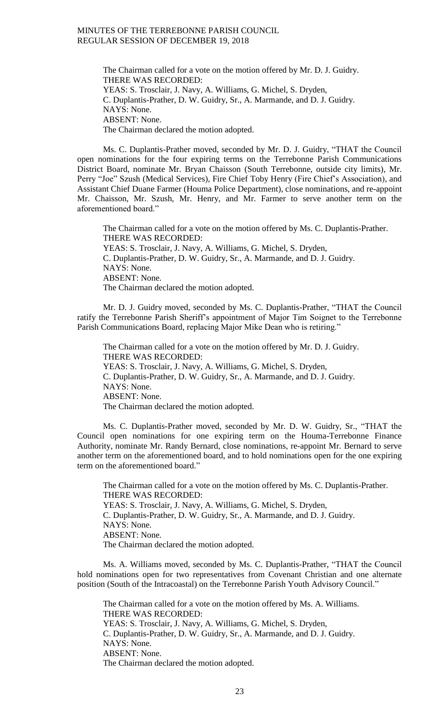The Chairman called for a vote on the motion offered by Mr. D. J. Guidry. THERE WAS RECORDED: YEAS: S. Trosclair, J. Navy, A. Williams, G. Michel, S. Dryden, C. Duplantis-Prather, D. W. Guidry, Sr., A. Marmande, and D. J. Guidry. NAYS: None. ABSENT: None. The Chairman declared the motion adopted.

Ms. C. Duplantis-Prather moved, seconded by Mr. D. J. Guidry, "THAT the Council open nominations for the four expiring terms on the Terrebonne Parish Communications District Board, nominate Mr. Bryan Chaisson (South Terrebonne, outside city limits), Mr. Perry "Joe" Szush (Medical Services), Fire Chief Toby Henry (Fire Chief's Association), and Assistant Chief Duane Farmer (Houma Police Department), close nominations, and re-appoint Mr. Chaisson, Mr. Szush, Mr. Henry, and Mr. Farmer to serve another term on the aforementioned board."

The Chairman called for a vote on the motion offered by Ms. C. Duplantis-Prather. THERE WAS RECORDED: YEAS: S. Trosclair, J. Navy, A. Williams, G. Michel, S. Dryden, C. Duplantis-Prather, D. W. Guidry, Sr., A. Marmande, and D. J. Guidry. NAYS: None. ABSENT: None. The Chairman declared the motion adopted.

Mr. D. J. Guidry moved, seconded by Ms. C. Duplantis-Prather, "THAT the Council ratify the Terrebonne Parish Sheriff's appointment of Major Tim Soignet to the Terrebonne Parish Communications Board, replacing Major Mike Dean who is retiring."

The Chairman called for a vote on the motion offered by Mr. D. J. Guidry. THERE WAS RECORDED: YEAS: S. Trosclair, J. Navy, A. Williams, G. Michel, S. Dryden, C. Duplantis-Prather, D. W. Guidry, Sr., A. Marmande, and D. J. Guidry. NAYS: None. ABSENT: None. The Chairman declared the motion adopted.

Ms. C. Duplantis-Prather moved, seconded by Mr. D. W. Guidry, Sr., "THAT the Council open nominations for one expiring term on the Houma-Terrebonne Finance Authority, nominate Mr. Randy Bernard, close nominations, re-appoint Mr. Bernard to serve another term on the aforementioned board, and to hold nominations open for the one expiring term on the aforementioned board."

The Chairman called for a vote on the motion offered by Ms. C. Duplantis-Prather. THERE WAS RECORDED: YEAS: S. Trosclair, J. Navy, A. Williams, G. Michel, S. Dryden, C. Duplantis-Prather, D. W. Guidry, Sr., A. Marmande, and D. J. Guidry. NAYS: None. ABSENT: None. The Chairman declared the motion adopted.

Ms. A. Williams moved, seconded by Ms. C. Duplantis-Prather, "THAT the Council hold nominations open for two representatives from Covenant Christian and one alternate position (South of the Intracoastal) on the Terrebonne Parish Youth Advisory Council."

The Chairman called for a vote on the motion offered by Ms. A. Williams. THERE WAS RECORDED: YEAS: S. Trosclair, J. Navy, A. Williams, G. Michel, S. Dryden, C. Duplantis-Prather, D. W. Guidry, Sr., A. Marmande, and D. J. Guidry. NAYS: None. ABSENT: None. The Chairman declared the motion adopted.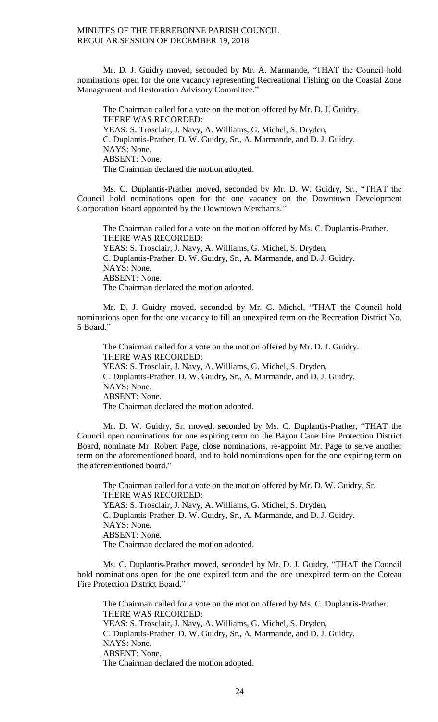Mr. D. J. Guidry moved, seconded by Mr. A. Marmande, "THAT the Council hold nominations open for the one vacancy representing Recreational Fishing on the Coastal Zone Management and Restoration Advisory Committee."

The Chairman called for a vote on the motion offered by Mr. D. J. Guidry. THERE WAS RECORDED: YEAS: S. Trosclair, J. Navy, A. Williams, G. Michel, S. Dryden, C. Duplantis-Prather, D. W. Guidry, Sr., A. Marmande, and D. J. Guidry. NAYS: None. ABSENT: None. The Chairman declared the motion adopted.

Ms. C. Duplantis-Prather moved, seconded by Mr. D. W. Guidry, Sr., "THAT the Council hold nominations open for the one vacancy on the Downtown Development Corporation Board appointed by the Downtown Merchants."

The Chairman called for a vote on the motion offered by Ms. C. Duplantis-Prather. THERE WAS RECORDED: YEAS: S. Trosclair, J. Navy, A. Williams, G. Michel, S. Dryden, C. Duplantis-Prather, D. W. Guidry, Sr., A. Marmande, and D. J. Guidry. NAYS: None. ABSENT: None. The Chairman declared the motion adopted.

Mr. D. J. Guidry moved, seconded by Mr. G. Michel, "THAT the Council hold nominations open for the one vacancy to fill an unexpired term on the Recreation District No. 5 Board."

The Chairman called for a vote on the motion offered by Mr. D. J. Guidry. THERE WAS RECORDED: YEAS: S. Trosclair, J. Navy, A. Williams, G. Michel, S. Dryden, C. Duplantis-Prather, D. W. Guidry, Sr., A. Marmande, and D. J. Guidry. NAYS: None. ABSENT: None. The Chairman declared the motion adopted.

Mr. D. W. Guidry, Sr. moved, seconded by Ms. C. Duplantis-Prather, "THAT the Council open nominations for one expiring term on the Bayou Cane Fire Protection District Board, nominate Mr. Robert Page, close nominations, re-appoint Mr. Page to serve another term on the aforementioned board, and to hold nominations open for the one expiring term on the aforementioned board."

The Chairman called for a vote on the motion offered by Mr. D. W. Guidry, Sr. THERE WAS RECORDED: YEAS: S. Trosclair, J. Navy, A. Williams, G. Michel, S. Dryden, C. Duplantis-Prather, D. W. Guidry, Sr., A. Marmande, and D. J. Guidry. NAYS: None. ABSENT: None. The Chairman declared the motion adopted.

Ms. C. Duplantis-Prather moved, seconded by Mr. D. J. Guidry, "THAT the Council hold nominations open for the one expired term and the one unexpired term on the Coteau Fire Protection District Board."

The Chairman called for a vote on the motion offered by Ms. C. Duplantis-Prather. THERE WAS RECORDED: YEAS: S. Trosclair, J. Navy, A. Williams, G. Michel, S. Dryden, C. Duplantis-Prather, D. W. Guidry, Sr., A. Marmande, and D. J. Guidry. NAYS: None. ABSENT: None. The Chairman declared the motion adopted.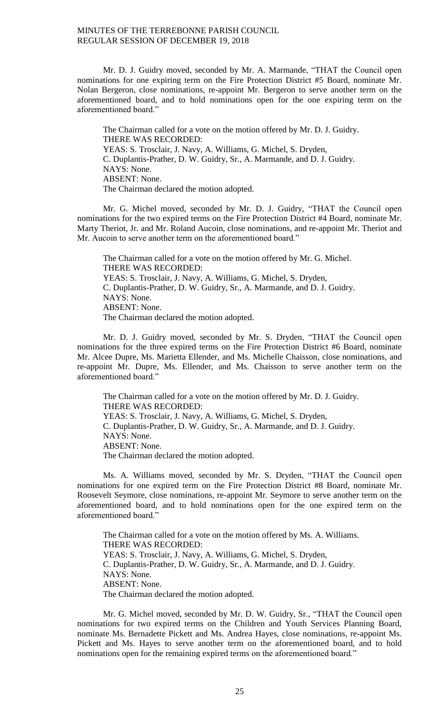Mr. D. J. Guidry moved, seconded by Mr. A. Marmande, "THAT the Council open nominations for one expiring term on the Fire Protection District #5 Board, nominate Mr. Nolan Bergeron, close nominations, re-appoint Mr. Bergeron to serve another term on the aforementioned board, and to hold nominations open for the one expiring term on the aforementioned board."

The Chairman called for a vote on the motion offered by Mr. D. J. Guidry. THERE WAS RECORDED: YEAS: S. Trosclair, J. Navy, A. Williams, G. Michel, S. Dryden, C. Duplantis-Prather, D. W. Guidry, Sr., A. Marmande, and D. J. Guidry. NAYS: None. ABSENT: None. The Chairman declared the motion adopted.

Mr. G. Michel moved, seconded by Mr. D. J. Guidry, "THAT the Council open nominations for the two expired terms on the Fire Protection District #4 Board, nominate Mr. Marty Theriot, Jr. and Mr. Roland Aucoin, close nominations, and re-appoint Mr. Theriot and Mr. Aucoin to serve another term on the aforementioned board."

The Chairman called for a vote on the motion offered by Mr. G. Michel. THERE WAS RECORDED: YEAS: S. Trosclair, J. Navy, A. Williams, G. Michel, S. Dryden, C. Duplantis-Prather, D. W. Guidry, Sr., A. Marmande, and D. J. Guidry. NAYS: None. ABSENT: None. The Chairman declared the motion adopted.

Mr. D. J. Guidry moved, seconded by Mr. S. Dryden, "THAT the Council open nominations for the three expired terms on the Fire Protection District #6 Board, nominate Mr. Alcee Dupre, Ms. Marietta Ellender, and Ms. Michelle Chaisson, close nominations, and re-appoint Mr. Dupre, Ms. Ellender, and Ms. Chaisson to serve another term on the aforementioned board."

The Chairman called for a vote on the motion offered by Mr. D. J. Guidry. THERE WAS RECORDED: YEAS: S. Trosclair, J. Navy, A. Williams, G. Michel, S. Dryden, C. Duplantis-Prather, D. W. Guidry, Sr., A. Marmande, and D. J. Guidry. NAYS: None. ABSENT: None. The Chairman declared the motion adopted.

Ms. A. Williams moved, seconded by Mr. S. Dryden, "THAT the Council open nominations for one expired term on the Fire Protection District #8 Board, nominate Mr. Roosevelt Seymore, close nominations, re-appoint Mr. Seymore to serve another term on the aforementioned board, and to hold nominations open for the one expired term on the aforementioned board."

The Chairman called for a vote on the motion offered by Ms. A. Williams. THERE WAS RECORDED: YEAS: S. Trosclair, J. Navy, A. Williams, G. Michel, S. Dryden, C. Duplantis-Prather, D. W. Guidry, Sr., A. Marmande, and D. J. Guidry. NAYS: None. ABSENT: None. The Chairman declared the motion adopted.

Mr. G. Michel moved, seconded by Mr. D. W. Guidry, Sr., "THAT the Council open nominations for two expired terms on the Children and Youth Services Planning Board, nominate Ms. Bernadette Pickett and Ms. Andrea Hayes, close nominations, re-appoint Ms. Pickett and Ms. Hayes to serve another term on the aforementioned board, and to hold nominations open for the remaining expired terms on the aforementioned board."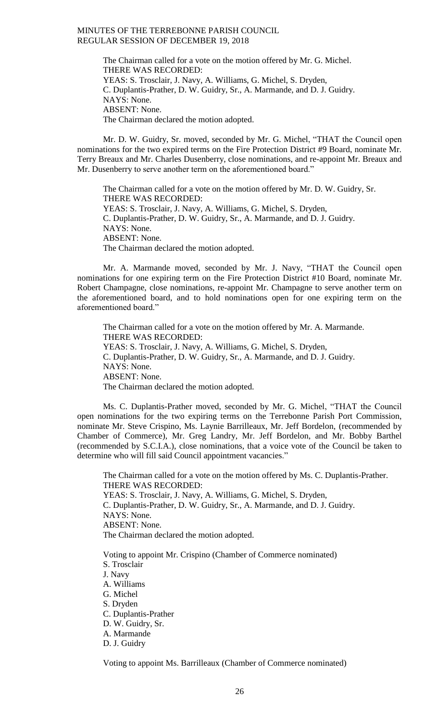The Chairman called for a vote on the motion offered by Mr. G. Michel. THERE WAS RECORDED: YEAS: S. Trosclair, J. Navy, A. Williams, G. Michel, S. Dryden, C. Duplantis-Prather, D. W. Guidry, Sr., A. Marmande, and D. J. Guidry. NAYS: None. ABSENT: None. The Chairman declared the motion adopted.

Mr. D. W. Guidry, Sr. moved, seconded by Mr. G. Michel, "THAT the Council open nominations for the two expired terms on the Fire Protection District #9 Board, nominate Mr. Terry Breaux and Mr. Charles Dusenberry, close nominations, and re-appoint Mr. Breaux and Mr. Dusenberry to serve another term on the aforementioned board."

The Chairman called for a vote on the motion offered by Mr. D. W. Guidry, Sr. THERE WAS RECORDED: YEAS: S. Trosclair, J. Navy, A. Williams, G. Michel, S. Dryden, C. Duplantis-Prather, D. W. Guidry, Sr., A. Marmande, and D. J. Guidry. NAYS: None. ABSENT: None. The Chairman declared the motion adopted.

Mr. A. Marmande moved, seconded by Mr. J. Navy, "THAT the Council open nominations for one expiring term on the Fire Protection District #10 Board, nominate Mr. Robert Champagne, close nominations, re-appoint Mr. Champagne to serve another term on the aforementioned board, and to hold nominations open for one expiring term on the aforementioned board."

The Chairman called for a vote on the motion offered by Mr. A. Marmande. THERE WAS RECORDED: YEAS: S. Trosclair, J. Navy, A. Williams, G. Michel, S. Dryden, C. Duplantis-Prather, D. W. Guidry, Sr., A. Marmande, and D. J. Guidry. NAYS: None. ABSENT: None. The Chairman declared the motion adopted.

Ms. C. Duplantis-Prather moved, seconded by Mr. G. Michel, "THAT the Council open nominations for the two expiring terms on the Terrebonne Parish Port Commission, nominate Mr. Steve Crispino, Ms. Laynie Barrilleaux, Mr. Jeff Bordelon, (recommended by Chamber of Commerce), Mr. Greg Landry, Mr. Jeff Bordelon, and Mr. Bobby Barthel (recommended by S.C.I.A.), close nominations, that a voice vote of the Council be taken to determine who will fill said Council appointment vacancies."

The Chairman called for a vote on the motion offered by Ms. C. Duplantis-Prather. THERE WAS RECORDED: YEAS: S. Trosclair, J. Navy, A. Williams, G. Michel, S. Dryden, C. Duplantis-Prather, D. W. Guidry, Sr., A. Marmande, and D. J. Guidry. NAYS: None. ABSENT: None. The Chairman declared the motion adopted.

Voting to appoint Mr. Crispino (Chamber of Commerce nominated) S. Trosclair J. Navy A. Williams G. Michel S. Dryden C. Duplantis-Prather D. W. Guidry, Sr. A. Marmande D. J. Guidry

Voting to appoint Ms. Barrilleaux (Chamber of Commerce nominated)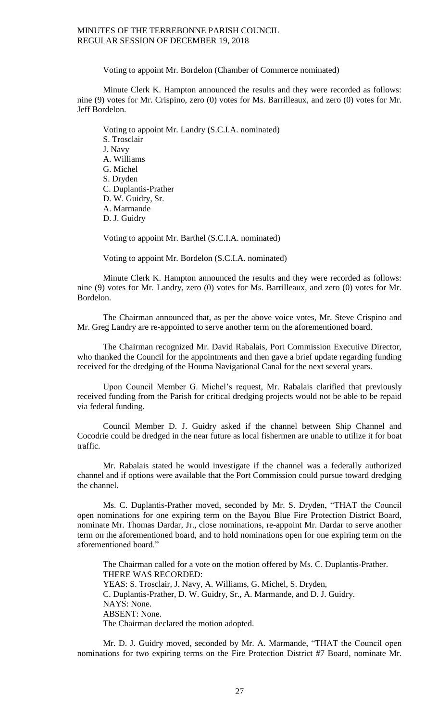Voting to appoint Mr. Bordelon (Chamber of Commerce nominated)

Minute Clerk K. Hampton announced the results and they were recorded as follows: nine (9) votes for Mr. Crispino, zero (0) votes for Ms. Barrilleaux, and zero (0) votes for Mr. Jeff Bordelon.

Voting to appoint Mr. Landry (S.C.I.A. nominated) S. Trosclair J. Navy A. Williams G. Michel S. Dryden C. Duplantis-Prather D. W. Guidry, Sr. A. Marmande D. J. Guidry

Voting to appoint Mr. Barthel (S.C.I.A. nominated)

Voting to appoint Mr. Bordelon (S.C.I.A. nominated)

Minute Clerk K. Hampton announced the results and they were recorded as follows: nine (9) votes for Mr. Landry, zero (0) votes for Ms. Barrilleaux, and zero (0) votes for Mr. Bordelon.

The Chairman announced that, as per the above voice votes, Mr. Steve Crispino and Mr. Greg Landry are re-appointed to serve another term on the aforementioned board.

The Chairman recognized Mr. David Rabalais, Port Commission Executive Director, who thanked the Council for the appointments and then gave a brief update regarding funding received for the dredging of the Houma Navigational Canal for the next several years.

Upon Council Member G. Michel's request, Mr. Rabalais clarified that previously received funding from the Parish for critical dredging projects would not be able to be repaid via federal funding.

Council Member D. J. Guidry asked if the channel between Ship Channel and Cocodrie could be dredged in the near future as local fishermen are unable to utilize it for boat traffic.

Mr. Rabalais stated he would investigate if the channel was a federally authorized channel and if options were available that the Port Commission could pursue toward dredging the channel.

Ms. C. Duplantis-Prather moved, seconded by Mr. S. Dryden, "THAT the Council open nominations for one expiring term on the Bayou Blue Fire Protection District Board, nominate Mr. Thomas Dardar, Jr., close nominations, re-appoint Mr. Dardar to serve another term on the aforementioned board, and to hold nominations open for one expiring term on the aforementioned board."

The Chairman called for a vote on the motion offered by Ms. C. Duplantis-Prather. THERE WAS RECORDED: YEAS: S. Trosclair, J. Navy, A. Williams, G. Michel, S. Dryden, C. Duplantis-Prather, D. W. Guidry, Sr., A. Marmande, and D. J. Guidry. NAYS: None. ABSENT: None. The Chairman declared the motion adopted.

Mr. D. J. Guidry moved, seconded by Mr. A. Marmande, "THAT the Council open nominations for two expiring terms on the Fire Protection District #7 Board, nominate Mr.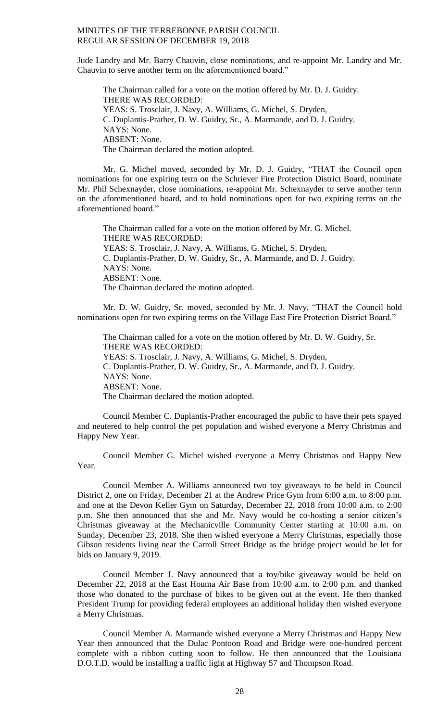Jude Landry and Mr. Barry Chauvin, close nominations, and re-appoint Mr. Landry and Mr. Chauvin to serve another term on the aforementioned board."

The Chairman called for a vote on the motion offered by Mr. D. J. Guidry. THERE WAS RECORDED: YEAS: S. Trosclair, J. Navy, A. Williams, G. Michel, S. Dryden, C. Duplantis-Prather, D. W. Guidry, Sr., A. Marmande, and D. J. Guidry. NAYS: None. ABSENT: None. The Chairman declared the motion adopted.

Mr. G. Michel moved, seconded by Mr. D. J. Guidry, "THAT the Council open nominations for one expiring term on the Schriever Fire Protection District Board, nominate Mr. Phil Schexnayder, close nominations, re-appoint Mr. Schexnayder to serve another term on the aforementioned board, and to hold nominations open for two expiring terms on the aforementioned board."

The Chairman called for a vote on the motion offered by Mr. G. Michel. THERE WAS RECORDED: YEAS: S. Trosclair, J. Navy, A. Williams, G. Michel, S. Dryden, C. Duplantis-Prather, D. W. Guidry, Sr., A. Marmande, and D. J. Guidry. NAYS: None. ABSENT: None. The Chairman declared the motion adopted.

Mr. D. W. Guidry, Sr. moved, seconded by Mr. J. Navy, "THAT the Council hold nominations open for two expiring terms on the Village East Fire Protection District Board."

The Chairman called for a vote on the motion offered by Mr. D. W. Guidry, Sr. THERE WAS RECORDED: YEAS: S. Trosclair, J. Navy, A. Williams, G. Michel, S. Dryden, C. Duplantis-Prather, D. W. Guidry, Sr., A. Marmande, and D. J. Guidry. NAYS: None. ABSENT: None. The Chairman declared the motion adopted.

Council Member C. Duplantis-Prather encouraged the public to have their pets spayed and neutered to help control the pet population and wished everyone a Merry Christmas and Happy New Year.

Council Member G. Michel wished everyone a Merry Christmas and Happy New Year.

Council Member A. Williams announced two toy giveaways to be held in Council District 2, one on Friday, December 21 at the Andrew Price Gym from 6:00 a.m. to 8:00 p.m. and one at the Devon Keller Gym on Saturday, December 22, 2018 from 10:00 a.m. to 2:00 p.m. She then announced that she and Mr. Navy would be co-hosting a senior citizen's Christmas giveaway at the Mechanicville Community Center starting at 10:00 a.m. on Sunday, December 23, 2018. She then wished everyone a Merry Christmas, especially those Gibson residents living near the Carroll Street Bridge as the bridge project would be let for bids on January 9, 2019.

Council Member J. Navy announced that a toy/bike giveaway would be held on December 22, 2018 at the East Houma Air Base from 10:00 a.m. to 2:00 p.m. and thanked those who donated to the purchase of bikes to be given out at the event. He then thanked President Trump for providing federal employees an additional holiday then wished everyone a Merry Christmas.

Council Member A. Marmande wished everyone a Merry Christmas and Happy New Year then announced that the Dulac Pontoon Road and Bridge were one-hundred percent complete with a ribbon cutting soon to follow. He then announced that the Louisiana D.O.T.D. would be installing a traffic light at Highway 57 and Thompson Road.